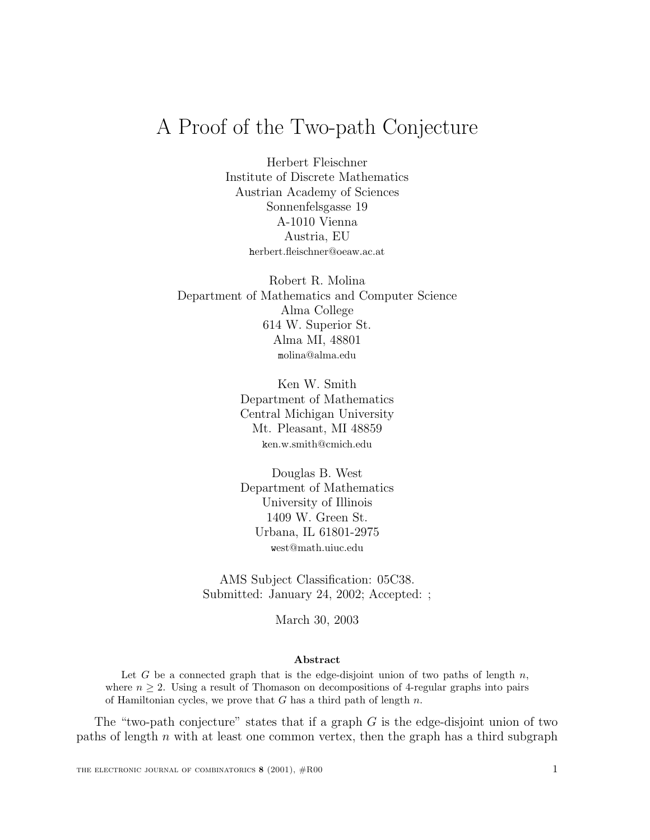## A Proof of the Two-path Conjecture

Herbert Fleischner Institute of Discrete Mathematics Austrian Academy of Sciences Sonnenfelsgasse 19 A-1010 Vienna Austria, EU herbert.fleischner@oeaw.ac.at

Robert R. Molina Department of Mathematics and Computer Science Alma College 614 W. Superior St. Alma MI, 48801 molina@alma.edu

> Ken W. Smith Department of Mathematics Central Michigan University Mt. Pleasant, MI 48859 ken.w.smith@cmich.edu

Douglas B. West Department of Mathematics University of Illinois 1409 W. Green St. Urbana, IL 61801-2975 west@math.uiuc.edu

AMS Subject Classification: 05C38. Submitted: January 24, 2002; Accepted: ;

March 30, 2003

## Abstract

Let G be a connected graph that is the edge-disjoint union of two paths of length  $n$ , where  $n \geq 2$ . Using a result of Thomason on decompositions of 4-regular graphs into pairs of Hamiltonian cycles, we prove that  $G$  has a third path of length  $n$ .

The "two-path conjecture" states that if a graph  $G$  is the edge-disjoint union of two paths of length  $n$  with at least one common vertex, then the graph has a third subgraph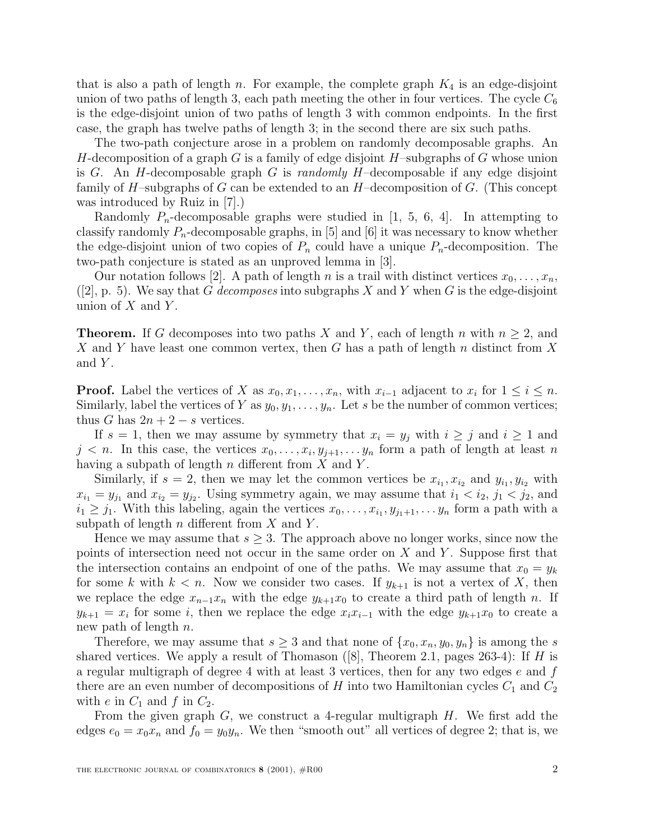that is also a path of length n. For example, the complete graph  $K_4$  is an edge-disjoint union of two paths of length 3, each path meeting the other in four vertices. The cycle  $C_6$ is the edge-disjoint union of two paths of length 3 with common endpoints. In the first case, the graph has twelve paths of length 3; in the second there are six such paths.

The two-path conjecture arose in a problem on randomly decomposable graphs. An H-decomposition of a graph G is a family of edge disjoint  $H$ -subgraphs of G whose union is G. An H-decomposable graph G is randomly H-decomposable if any edge disjoint family of H–subgraphs of G can be extended to an  $H$ –decomposition of G. (This concept was introduced by Ruiz in [7].)

Randomly  $P_n$ -decomposable graphs were studied in [1, 5, 6, 4]. In attempting to classify randomly  $P_n$ -decomposable graphs, in [5] and [6] it was necessary to know whether the edge-disjoint union of two copies of  $P_n$  could have a unique  $P_n$ -decomposition. The two-path conjecture is stated as an unproved lemma in [3].

Our notation follows [2]. A path of length n is a trail with distinct vertices  $x_0, \ldots, x_n$ ,  $([2], p. 5)$ . We say that G decomposes into subgraphs X and Y when G is the edge-disjoint union of  $X$  and  $Y$ .

**Theorem.** If G decomposes into two paths X and Y, each of length n with  $n \geq 2$ , and X and Y have least one common vertex, then G has a path of length n distinct from X and  $Y$ .

**Proof.** Label the vertices of X as  $x_0, x_1, \ldots, x_n$ , with  $x_{i-1}$  adjacent to  $x_i$  for  $1 \leq i \leq n$ . Similarly, label the vertices of Y as  $y_0, y_1, \ldots, y_n$ . Let s be the number of common vertices; thus G has  $2n + 2 - s$  vertices.

If  $s = 1$ , then we may assume by symmetry that  $x_i = y_j$  with  $i \geq j$  and  $i \geq 1$  and  $j < n$ . In this case, the vertices  $x_0, \ldots, x_i, y_{j+1}, \ldots, y_n$  form a path of length at least n having a subpath of length  $n$  different from  $X$  and  $Y$ .

Similarly, if  $s = 2$ , then we may let the common vertices be  $x_{i_1}, x_{i_2}$  and  $y_{i_1}, y_{i_2}$  with  $x_{i_1} = y_{j_1}$  and  $x_{i_2} = y_{j_2}$ . Using symmetry again, we may assume that  $i_1 < i_2$ ,  $j_1 < j_2$ , and  $i_1 \geq j_1$ . With this labeling, again the vertices  $x_0, \ldots, x_{i_1}, y_{j_1+1}, \ldots, y_n$  form a path with a subpath of length  $n$  different from  $X$  and  $Y$ .

Hence we may assume that  $s \geq 3$ . The approach above no longer works, since now the points of intersection need not occur in the same order on  $X$  and  $Y$ . Suppose first that the intersection contains an endpoint of one of the paths. We may assume that  $x_0 = y_k$ for some k with  $k < n$ . Now we consider two cases. If  $y_{k+1}$  is not a vertex of X, then we replace the edge  $x_{n-1}x_n$  with the edge  $y_{k+1}x_0$  to create a third path of length n. If  $y_{k+1} = x_i$  for some i, then we replace the edge  $x_i x_{i-1}$  with the edge  $y_{k+1} x_0$  to create a new path of length  $n$ .

Therefore, we may assume that  $s \geq 3$  and that none of  $\{x_0, x_n, y_0, y_n\}$  is among the s shared vertices. We apply a result of Thomason ([8], Theorem 2.1, pages 263-4): If H is a regular multigraph of degree 4 with at least 3 vertices, then for any two edges  $e$  and  $f$ there are an even number of decompositions of H into two Hamiltonian cycles  $C_1$  and  $C_2$ with e in  $C_1$  and f in  $C_2$ .

From the given graph  $G$ , we construct a 4-regular multigraph  $H$ . We first add the edges  $e_0 = x_0 x_n$  and  $f_0 = y_0 y_n$ . We then "smooth out" all vertices of degree 2; that is, we